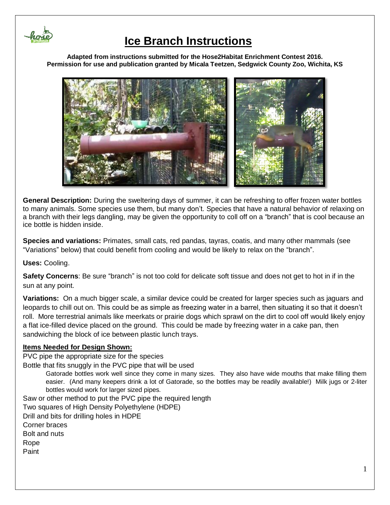

### **Ice Branch Instructions**

**Adapted from instructions submitted for the Hose2Habitat Enrichment Contest 2016. Permission for use and publication granted by Micala Teetzen, Sedgwick County Zoo, Wichita, KS**



**General Description:** During the sweltering days of summer, it can be refreshing to offer frozen water bottles to many animals. Some species use them, but many don't. Species that have a natural behavior of relaxing on a branch with their legs dangling, may be given the opportunity to coll off on a "branch" that is cool because an ice bottle is hidden inside.

**Species and variations:** Primates, small cats, red pandas, tayras, coatis, and many other mammals (see "Variations" below) that could benefit from cooling and would be likely to relax on the "branch".

**Uses:** Cooling.

**Safety Concerns**: Be sure "branch" is not too cold for delicate soft tissue and does not get to hot in if in the sun at any point.

**Variations:** On a much bigger scale, a similar device could be created for larger species such as jaguars and leopards to chill out on. This could be as simple as freezing water in a barrel, then situating it so that it doesn't roll. More terrestrial animals like meerkats or prairie dogs which sprawl on the dirt to cool off would likely enjoy a flat ice-filled device placed on the ground. This could be made by freezing water in a cake pan, then sandwiching the block of ice between plastic lunch trays.

#### **Items Needed for Design Shown:**

PVC pipe the appropriate size for the species

Bottle that fits snuggly in the PVC pipe that will be used

Gatorade bottles work well since they come in many sizes. They also have wide mouths that make filling them easier. (And many keepers drink a lot of Gatorade, so the bottles may be readily available!) Milk jugs or 2-liter bottles would work for larger sized pipes.

Saw or other method to put the PVC pipe the required length Two squares of High Density Polyethylene (HDPE) Drill and bits for drilling holes in HDPE Corner braces Bolt and nuts Rope Paint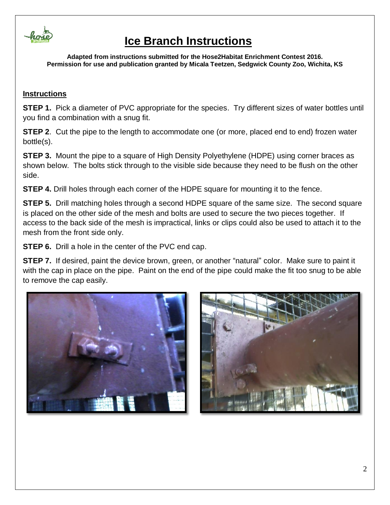

# **Ice Branch Instructions**

**Adapted from instructions submitted for the Hose2Habitat Enrichment Contest 2016. Permission for use and publication granted by Micala Teetzen, Sedgwick County Zoo, Wichita, KS**

### **Instructions**

**STEP 1.** Pick a diameter of PVC appropriate for the species. Try different sizes of water bottles until you find a combination with a snug fit.

**STEP 2.** Cut the pipe to the length to accommodate one (or more, placed end to end) frozen water bottle(s).

**STEP 3.** Mount the pipe to a square of High Density Polyethylene (HDPE) using corner braces as shown below. The bolts stick through to the visible side because they need to be flush on the other side.

**STEP 4.** Drill holes through each corner of the HDPE square for mounting it to the fence.

**STEP 5.** Drill matching holes through a second HDPE square of the same size. The second square is placed on the other side of the mesh and bolts are used to secure the two pieces together. If access to the back side of the mesh is impractical, links or clips could also be used to attach it to the mesh from the front side only.

**STEP 6.** Drill a hole in the center of the PVC end cap.

**STEP 7.** If desired, paint the device brown, green, or another "natural" color. Make sure to paint it with the cap in place on the pipe. Paint on the end of the pipe could make the fit too snug to be able to remove the cap easily.